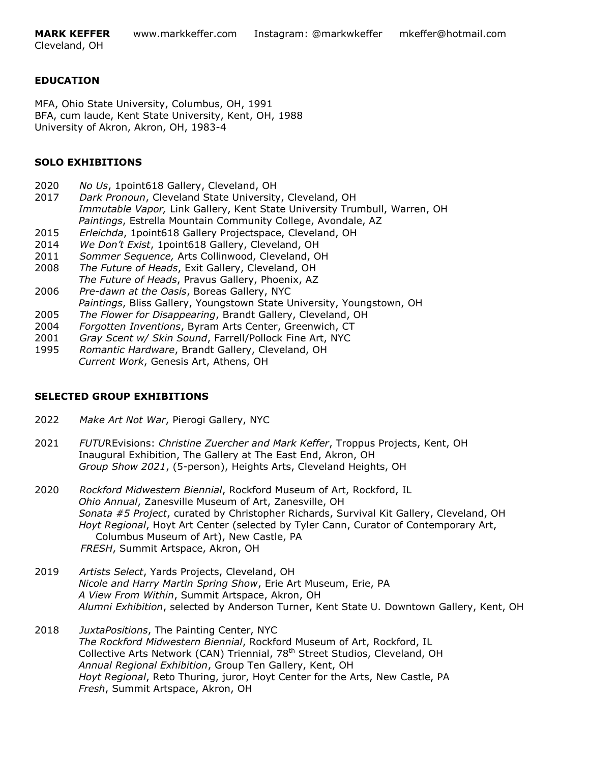# **EDUCATION**

MFA, Ohio State University, Columbus, OH, 1991 BFA, cum laude, Kent State University, Kent, OH, 1988 University of Akron, Akron, OH, 1983-4

# **SOLO EXHIBITIONS**

- 2020 *No Us*, 1point618 Gallery, Cleveland, OH
- 2017 *Dark Pronoun*, Cleveland State University, Cleveland, OH  *Immutable Vapor,* Link Gallery, Kent State University Trumbull, Warren, OH  *Paintings*, Estrella Mountain Community College, Avondale, AZ
- 2015 *Erleichda*, 1point618 Gallery Projectspace, Cleveland, OH
- 2014 *We Don't Exist*, 1point618 Gallery, Cleveland, OH
- 2011 *Sommer Sequence,* Arts Collinwood, Cleveland, OH
- 2008 *The Future of Heads*, Exit Gallery, Cleveland, OH  *The Future of Heads*, Pravus Gallery, Phoenix, AZ
- 2006 *Pre-dawn at the Oasis*, Boreas Gallery, NYC  *Paintings*, Bliss Gallery, Youngstown State University, Youngstown, OH
- 2005 *The Flower for Disappearing*, Brandt Gallery, Cleveland, OH
- 2004 *Forgotten Inventions*, Byram Arts Center, Greenwich, CT
- 2001 *Gray Scent w/ Skin Sound*, Farrell/Pollock Fine Art, NYC
- 1995 *Romantic Hardware*, Brandt Gallery, Cleveland, OH  *Current Work*, Genesis Art, Athens, OH

# **SELECTED GROUP EXHIBITIONS**

- 2022 *Make Art Not War*, Pierogi Gallery, NYC
- 2021 *FUTU*REvisions: *Christine Zuercher and Mark Keffer*, Troppus Projects, Kent, OH Inaugural Exhibition, The Gallery at The East End, Akron, OH *Group Show 2021*, (5-person), Heights Arts, Cleveland Heights, OH
- 2020 *Rockford Midwestern Biennial*, Rockford Museum of Art, Rockford, IL  *Ohio Annual*, Zanesville Museum of Art, Zanesville, OH  *Sonata #5 Project*, curated by Christopher Richards, Survival Kit Gallery, Cleveland, OH  *Hoyt Regional*, Hoyt Art Center (selected by Tyler Cann, Curator of Contemporary Art, Columbus Museum of Art), New Castle, PA  *FRESH*, Summit Artspace, Akron, OH
- 2019 *Artists Select*, Yards Projects, Cleveland, OH  *Nicole and Harry Martin Spring Show*, Erie Art Museum, Erie, PA *A View From Within*, Summit Artspace, Akron, OH *Alumni Exhibition*, selected by Anderson Turner, Kent State U. Downtown Gallery, Kent, OH
- 2018 *JuxtaPositions*, The Painting Center, NYC *The Rockford Midwestern Biennial*, Rockford Museum of Art, Rockford, IL Collective Arts Network (CAN) Triennial, 78<sup>th</sup> Street Studios, Cleveland, OH *Annual Regional Exhibition*, Group Ten Gallery, Kent, OH *Hoyt Regional*, Reto Thuring, juror, Hoyt Center for the Arts, New Castle, PA *Fresh*, Summit Artspace, Akron, OH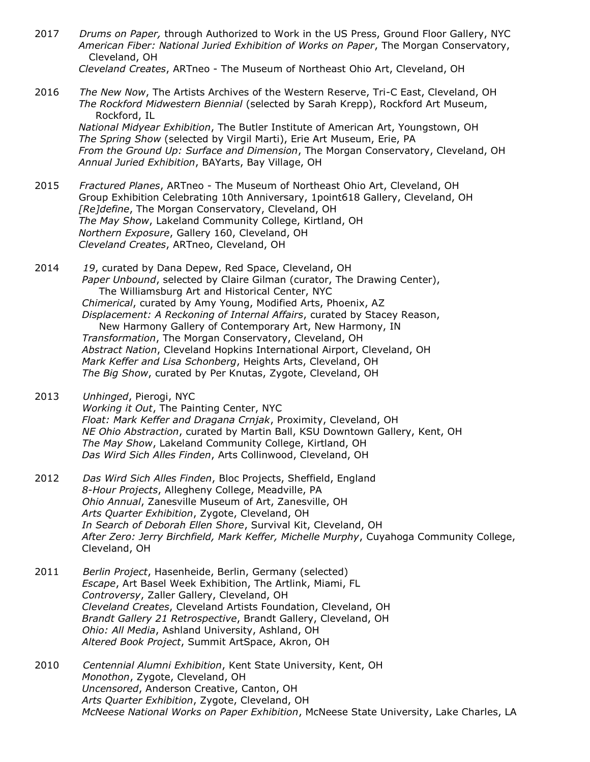- 2017 *Drums on Paper,* through Authorized to Work in the US Press, Ground Floor Gallery, NYC  *American Fiber: National Juried Exhibition of Works on Paper*, The Morgan Conservatory, Cleveland, OH *Cleveland Creates*, ARTneo - The Museum of Northeast Ohio Art, Cleveland, OH
- 2016 *The New Now*, The Artists Archives of the Western Reserve, Tri-C East, Cleveland, OH  *The Rockford Midwestern Biennial* (selected by Sarah Krepp), Rockford Art Museum, Rockford, IL

 *National Midyear Exhibition*, The Butler Institute of American Art, Youngstown, OH  *The Spring Show* (selected by Virgil Marti), Erie Art Museum, Erie, PA  *From the Ground Up: Surface and Dimension*, The Morgan Conservatory, Cleveland, OH *Annual Juried Exhibition*, BAYarts, Bay Village, OH

- 2015 *Fractured Planes*, ARTneo The Museum of Northeast Ohio Art, Cleveland, OH Group Exhibition Celebrating 10th Anniversary, 1point618 Gallery, Cleveland, OH  *[Re]define*, The Morgan Conservatory, Cleveland, OH  *The May Show*, Lakeland Community College, Kirtland, OH  *Northern Exposure*, Gallery 160, Cleveland, OH  *Cleveland Creates*, ARTneo, Cleveland, OH
- 2014 *19*, curated by Dana Depew, Red Space, Cleveland, OH  *Paper Unbound*, selected by Claire Gilman (curator, The Drawing Center), The Williamsburg Art and Historical Center, NYC  *Chimerical*, curated by Amy Young, Modified Arts, Phoenix, AZ  *Displacement: A Reckoning of Internal Affairs*, curated by Stacey Reason, New Harmony Gallery of Contemporary Art, New Harmony, IN  *Transformation*, The Morgan Conservatory, Cleveland, OH  *Abstract Nation*, Cleveland Hopkins International Airport, Cleveland, OH  *Mark Keffer and Lisa Schonberg*, Heights Arts, Cleveland, OH  *The Big Show*, curated by Per Knutas, Zygote, Cleveland, OH
- 2013 *Unhinged*, Pierogi, NYC  *Working it Out*, The Painting Center, NYC  *Float: Mark Keffer and Dragana Crnjak*, Proximity, Cleveland, OH  *NE Ohio Abstraction*, curated by Martin Ball, KSU Downtown Gallery, Kent, OH  *The May Show*, Lakeland Community College, Kirtland, OH  *Das Wird Sich Alles Finden*, Arts Collinwood, Cleveland, OH
- 2012 *Das Wird Sich Alles Finden*, Bloc Projects, Sheffield, England  *8-Hour Projects*, Allegheny College, Meadville, PA  *Ohio Annual*, Zanesville Museum of Art, Zanesville, OH  *Arts Quarter Exhibition*, Zygote, Cleveland, OH  *In Search of Deborah Ellen Shore*, Survival Kit, Cleveland, OH  *After Zero: Jerry Birchfield, Mark Keffer, Michelle Murphy*, Cuyahoga Community College, Cleveland, OH
- 2011 *Berlin Project*, Hasenheide, Berlin, Germany (selected)  *Escape*, Art Basel Week Exhibition, The Artlink, Miami, FL  *Controversy*, Zaller Gallery, Cleveland, OH  *Cleveland Creates*, Cleveland Artists Foundation, Cleveland, OH  *Brandt Gallery 21 Retrospective*, Brandt Gallery, Cleveland, OH  *Ohio: All Media*, Ashland University, Ashland, OH  *Altered Book Project*, Summit ArtSpace, Akron, OH
- 2010 *Centennial Alumni Exhibition*, Kent State University, Kent, OH  *Monothon*, Zygote, Cleveland, OH  *Uncensored*, Anderson Creative, Canton, OH  *Arts Quarter Exhibition*, Zygote, Cleveland, OH  *McNeese National Works on Paper Exhibition*, McNeese State University, Lake Charles, LA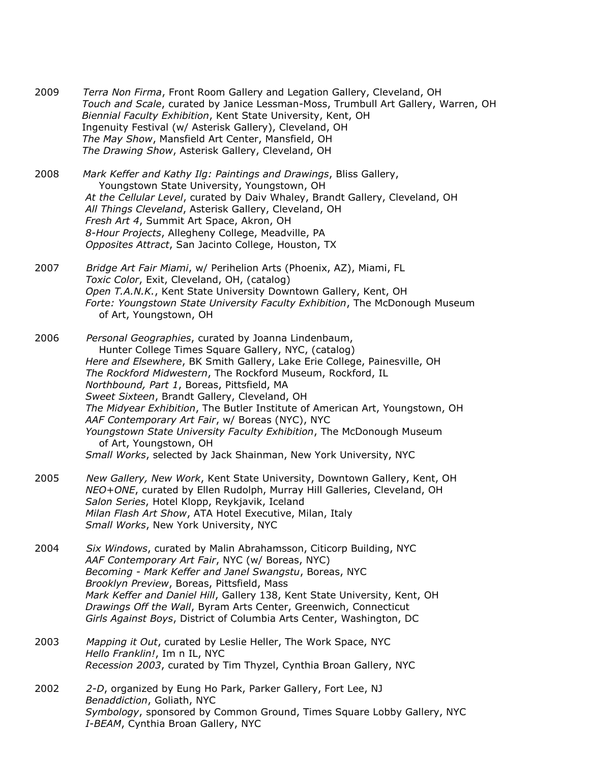- 2009 *Terra Non Firma*, Front Room Gallery and Legation Gallery, Cleveland, OH  *Touch and Scale*, curated by Janice Lessman-Moss, Trumbull Art Gallery, Warren, OH  *Biennial Faculty Exhibition*, Kent State University, Kent, OH Ingenuity Festival (w/ Asterisk Gallery), Cleveland, OH  *The May Show*, Mansfield Art Center, Mansfield, OH  *The Drawing Show*, Asterisk Gallery, Cleveland, OH
- 2008 *Mark Keffer and Kathy Ilg: Paintings and Drawings*, Bliss Gallery, Youngstown State University, Youngstown, OH  *At the Cellular Level*, curated by Daiv Whaley, Brandt Gallery, Cleveland, OH  *All Things Cleveland*, Asterisk Gallery, Cleveland, OH  *Fresh Art 4*, Summit Art Space, Akron, OH  *8-Hour Projects*, Allegheny College, Meadville, PA  *Opposites Attract*, San Jacinto College, Houston, TX
- 2007 *Bridge Art Fair Miami*, w/ Perihelion Arts (Phoenix, AZ), Miami, FL  *Toxic Color*, Exit, Cleveland, OH, (catalog)  *Open T.A.N.K.*, Kent State University Downtown Gallery, Kent, OH  *Forte: Youngstown State University Faculty Exhibition*, The McDonough Museum of Art, Youngstown, OH
- 2006 *Personal Geographies*, curated by Joanna Lindenbaum, Hunter College Times Square Gallery, NYC, (catalog)  *Here and Elsewhere*, BK Smith Gallery, Lake Erie College, Painesville, OH  *The Rockford Midwestern*, The Rockford Museum, Rockford, IL  *Northbound, Part 1*, Boreas, Pittsfield, MA  *Sweet Sixteen*, Brandt Gallery, Cleveland, OH  *The Midyear Exhibition*, The Butler Institute of American Art, Youngstown, OH  *AAF Contemporary Art Fair*, w/ Boreas (NYC), NYC  *Youngstown State University Faculty Exhibition*, The McDonough Museum of Art, Youngstown, OH  *Small Works*, selected by Jack Shainman, New York University, NYC
- 2005 *New Gallery, New Work*, Kent State University, Downtown Gallery, Kent, OH  *NEO+ONE*, curated by Ellen Rudolph, Murray Hill Galleries, Cleveland, OH  *Salon Series*, Hotel Klopp, Reykjavik, Iceland  *Milan Flash Art Show*, ATA Hotel Executive, Milan, Italy  *Small Works*, New York University, NYC
- 2004 *Six Windows*, curated by Malin Abrahamsson, Citicorp Building, NYC  *AAF Contemporary Art Fair*, NYC (w/ Boreas, NYC)  *Becoming - Mark Keffer and Janel Swangstu*, Boreas, NYC  *Brooklyn Preview*, Boreas, Pittsfield, Mass  *Mark Keffer and Daniel Hill*, Gallery 138, Kent State University, Kent, OH  *Drawings Off the Wall*, Byram Arts Center, Greenwich, Connecticut  *Girls Against Boys*, District of Columbia Arts Center, Washington, DC
- 2003 *Mapping it Out*, curated by Leslie Heller, The Work Space, NYC  *Hello Franklin!*, Im n IL, NYC  *Recession 2003*, curated by Tim Thyzel, Cynthia Broan Gallery, NYC
- 2002 *2-D*, organized by Eung Ho Park, Parker Gallery, Fort Lee, NJ  *Benaddiction*, Goliath, NYC  *Symbology*, sponsored by Common Ground, Times Square Lobby Gallery, NYC  *I-BEAM*, Cynthia Broan Gallery, NYC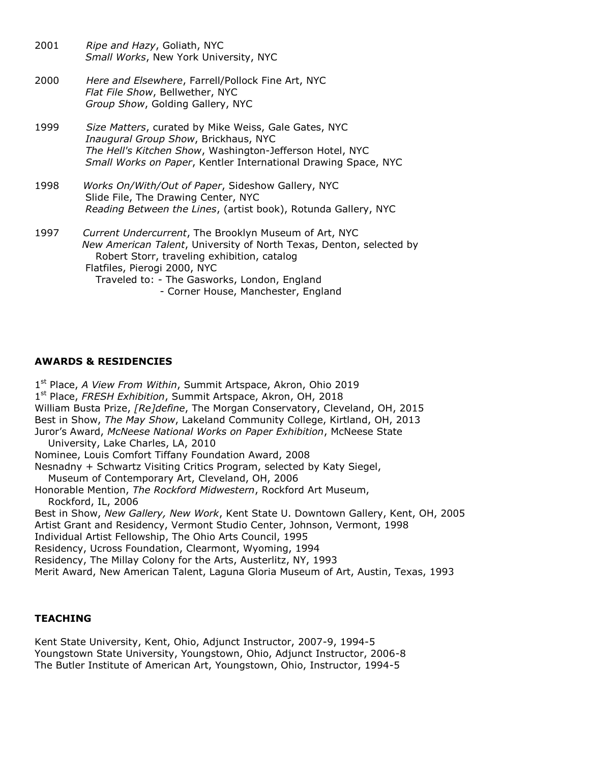- 2001 *Ripe and Hazy*, Goliath, NYC  *Small Works*, New York University, NYC
- 2000 *Here and Elsewhere*, Farrell/Pollock Fine Art, NYC  *Flat File Show*, Bellwether, NYC *Group Show*, Golding Gallery, NYC
- 1999 *Size Matters*, curated by Mike Weiss, Gale Gates, NYC  *Inaugural Group Show*, Brickhaus, NYC  *The Hell's Kitchen Show*, Washington-Jefferson Hotel, NYC  *Small Works on Paper*, Kentler International Drawing Space, NYC
- 1998 *Works On/With/Out of Paper*, Sideshow Gallery, NYC Slide File, The Drawing Center, NYC  *Reading Between the Lines*, (artist book), Rotunda Gallery, NYC
- 1997 *Current Undercurrent*, The Brooklyn Museum of Art, NYC  *New American Talent*, University of North Texas, Denton, selected by Robert Storr, traveling exhibition, catalog Flatfiles, Pierogi 2000, NYC Traveled to: - The Gasworks, London, England - Corner House, Manchester, England
- **AWARDS & RESIDENCIES**

1 st Place, *A View From Within*, Summit Artspace, Akron, Ohio 2019 1 st Place, *FRESH Exhibition*, Summit Artspace, Akron, OH, 2018 William Busta Prize, *[Re]define*, The Morgan Conservatory, Cleveland, OH, 2015 Best in Show, *The May Show*, Lakeland Community College, Kirtland, OH, 2013 Juror's Award, *McNeese National Works on Paper Exhibition*, McNeese State University, Lake Charles, LA, 2010 Nominee, Louis Comfort Tiffany Foundation Award, 2008 Nesnadny + Schwartz Visiting Critics Program, selected by Katy Siegel, Museum of Contemporary Art, Cleveland, OH, 2006 Honorable Mention, *The Rockford Midwestern*, Rockford Art Museum, Rockford, IL, 2006 Best in Show, *New Gallery, New Work*, Kent State U. Downtown Gallery, Kent, OH, 2005 Artist Grant and Residency, Vermont Studio Center, Johnson, Vermont, 1998 Individual Artist Fellowship, The Ohio Arts Council, 1995 Residency, Ucross Foundation, Clearmont, Wyoming, 1994 Residency, The Millay Colony for the Arts, Austerlitz, NY, 1993 Merit Award, New American Talent, Laguna Gloria Museum of Art, Austin, Texas, 1993

#### **TEACHING**

Kent State University, Kent, Ohio, Adjunct Instructor, 2007-9, 1994-5 Youngstown State University, Youngstown, Ohio, Adjunct Instructor, 2006-8 The Butler Institute of American Art, Youngstown, Ohio, Instructor, 1994-5